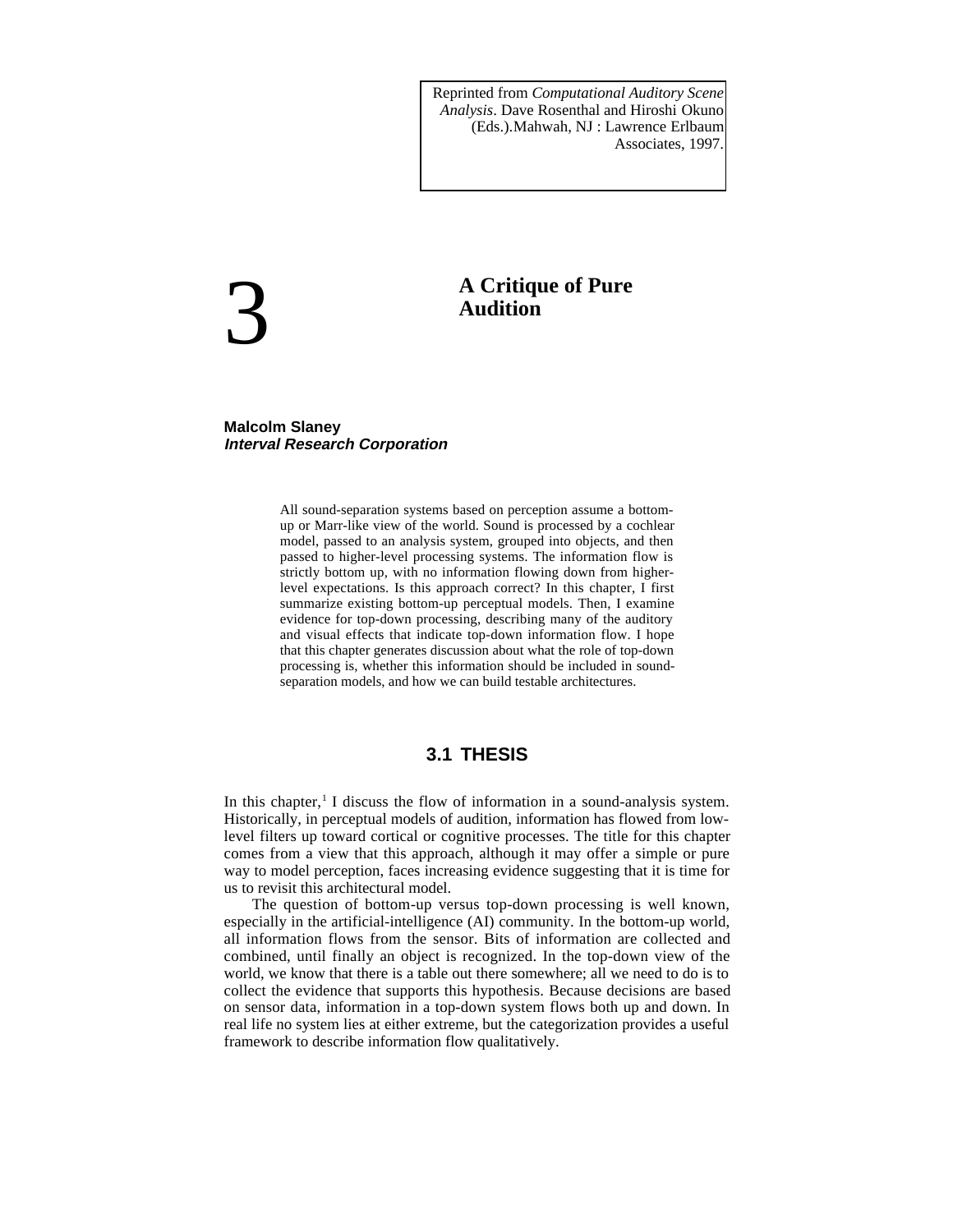Reprinted from *Computational Auditory Scene Analysis*. Dave Rosenthal and Hiroshi Okuno (Eds.).Mahwah, NJ : Lawrence Erlbaum Associates, 1997.

3

# **A Critique of Pure Audition**

### **Malcolm Slaney Interval Research Corporation**

All sound-separation systems based on perception assume a bottomup or Marr-like view of the world. Sound is processed by a cochlear model, passed to an analysis system, grouped into objects, and then passed to higher-level processing systems. The information flow is strictly bottom up, with no information flowing down from higherlevel expectations. Is this approach correct? In this chapter, I first summarize existing bottom-up perceptual models. Then, I examine evidence for top-down processing, describing many of the auditory and visual effects that indicate top-down information flow. I hope that this chapter generates discussion about what the role of top-down processing is, whether this information should be included in soundseparation models, and how we can build testable architectures.

# **3.1 THESIS**

In this chapter,<sup>1</sup> I discuss the flow of information in a sound-analysis system. Historically, in perceptual models of audition, information has flowed from lowlevel filters up toward cortical or cognitive processes. The title for this chapter comes from a view that this approach, although it may offer a simple or pure way to model perception, faces increasing evidence suggesting that it is time for us to revisit this architectural model.

The question of bottom-up versus top-down processing is well known, especially in the artificial-intelligence (AI) community. In the bottom-up world, all information flows from the sensor. Bits of information are collected and combined, until finally an object is recognized. In the top-down view of the world, we know that there is a table out there somewhere; all we need to do is to collect the evidence that supports this hypothesis. Because decisions are based on sensor data, information in a top-down system flows both up and down. In real life no system lies at either extreme, but the categorization provides a useful framework to describe information flow qualitatively.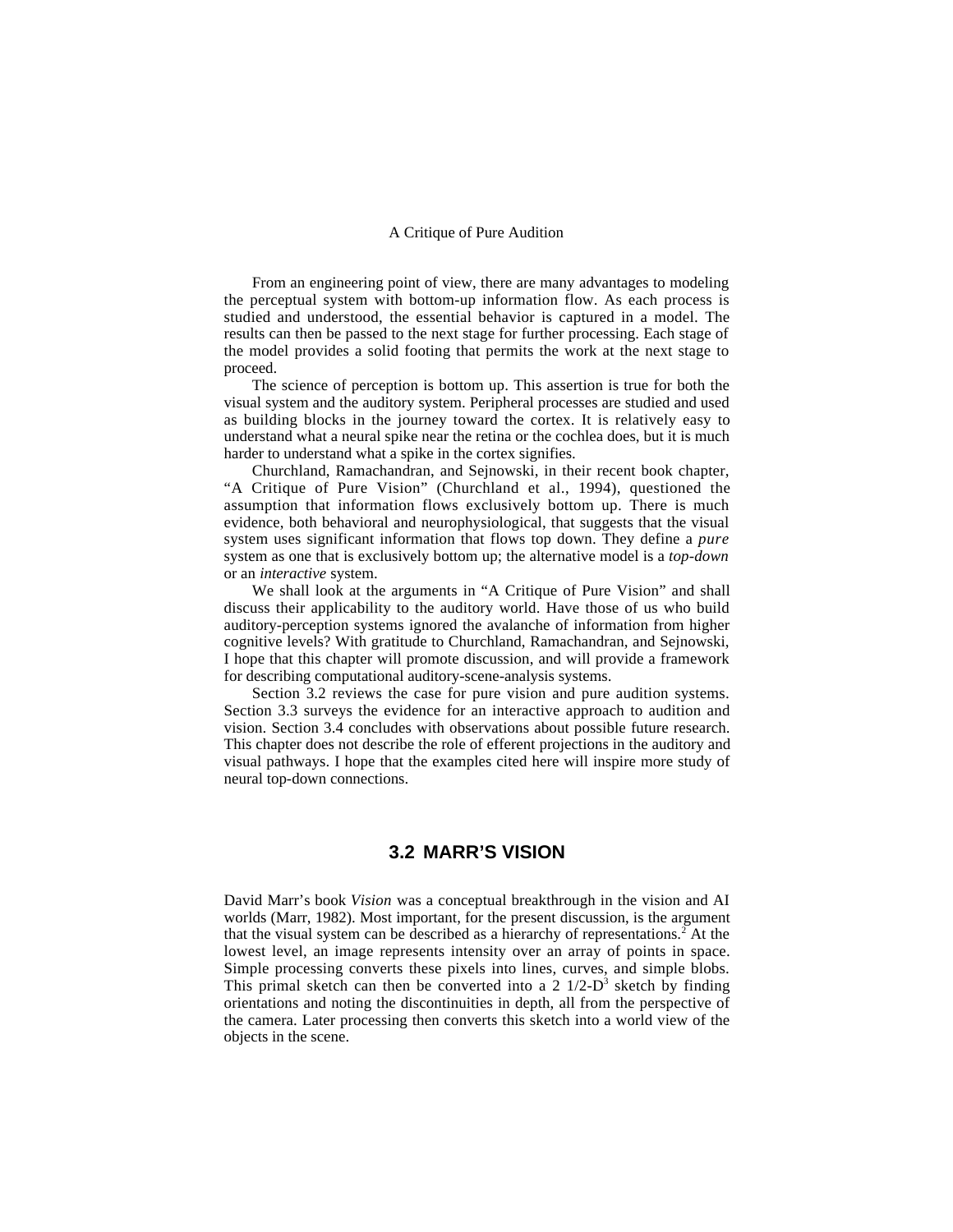From an engineering point of view, there are many advantages to modeling the perceptual system with bottom-up information flow. As each process is studied and understood, the essential behavior is captured in a model. The results can then be passed to the next stage for further processing. Each stage of the model provides a solid footing that permits the work at the next stage to proceed.

The science of perception is bottom up. This assertion is true for both the visual system and the auditory system. Peripheral processes are studied and used as building blocks in the journey toward the cortex. It is relatively easy to understand what a neural spike near the retina or the cochlea does, but it is much harder to understand what a spike in the cortex signifies.

Churchland, Ramachandran, and Sejnowski, in their recent book chapter, "A Critique of Pure Vision" (Churchland et al., 1994), questioned the assumption that information flows exclusively bottom up. There is much evidence, both behavioral and neurophysiological, that suggests that the visual system uses significant information that flows top down. They define a *pure* system as one that is exclusively bottom up; the alternative model is a *top-down* or an *interactive* system.

We shall look at the arguments in "A Critique of Pure Vision" and shall discuss their applicability to the auditory world. Have those of us who build auditory-perception systems ignored the avalanche of information from higher cognitive levels? With gratitude to Churchland, Ramachandran, and Sejnowski, I hope that this chapter will promote discussion, and will provide a framework for describing computational auditory-scene-analysis systems.

Section 3.2 reviews the case for pure vision and pure audition systems. Section 3.3 surveys the evidence for an interactive approach to audition and vision. Section 3.4 concludes with observations about possible future research. This chapter does not describe the role of efferent projections in the auditory and visual pathways. I hope that the examples cited here will inspire more study of neural top-down connections.

# **3.2 MARR'S VISION**

David Marr's book *Vision* was a conceptual breakthrough in the vision and AI worlds (Marr, 1982). Most important, for the present discussion, is the argument that the visual system can be described as a hierarchy of representations.<sup>2</sup> At the lowest level, an image represents intensity over an array of points in space. Simple processing converts these pixels into lines, curves, and simple blobs. This primal sketch can then be converted into a 2  $1/2-D^3$  sketch by finding orientations and noting the discontinuities in depth, all from the perspective of the camera. Later processing then converts this sketch into a world view of the objects in the scene.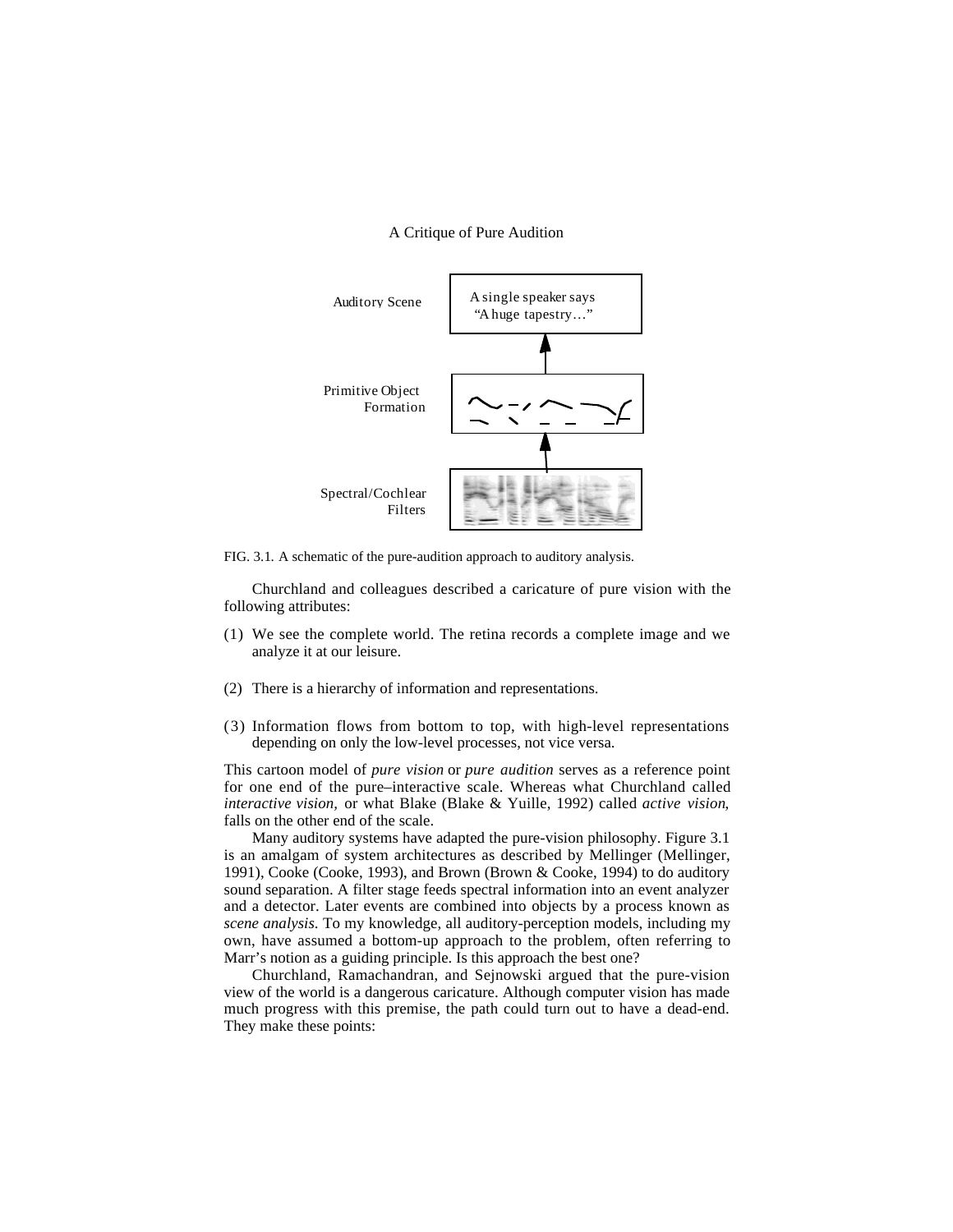

FIG. 3.1. A schematic of the pure-audition approach to auditory analysis.

Churchland and colleagues described a caricature of pure vision with the following attributes:

- (1) We see the complete world. The retina records a complete image and we analyze it at our leisure.
- (2) There is a hierarchy of information and representations.
- (3) Information flows from bottom to top, with high-level representations depending on only the low-level processes, not vice versa.

This cartoon model of *pure vision* or *pure audition* serves as a reference point for one end of the pure–interactive scale. Whereas what Churchland called *interactive vision,* or what Blake (Blake & Yuille, 1992) called *active vision*, falls on the other end of the scale.

Many auditory systems have adapted the pure-vision philosophy. Figure 3.1 is an amalgam of system architectures as described by Mellinger (Mellinger, 1991), Cooke (Cooke, 1993), and Brown (Brown & Cooke, 1994) to do auditory sound separation. A filter stage feeds spectral information into an event analyzer and a detector. Later events are combined into objects by a process known as *scene analysis*. To my knowledge, all auditory-perception models, including my own, have assumed a bottom-up approach to the problem, often referring to Marr's notion as a guiding principle. Is this approach the best one?

Churchland, Ramachandran, and Sejnowski argued that the pure-vision view of the world is a dangerous caricature. Although computer vision has made much progress with this premise, the path could turn out to have a dead-end. They make these points: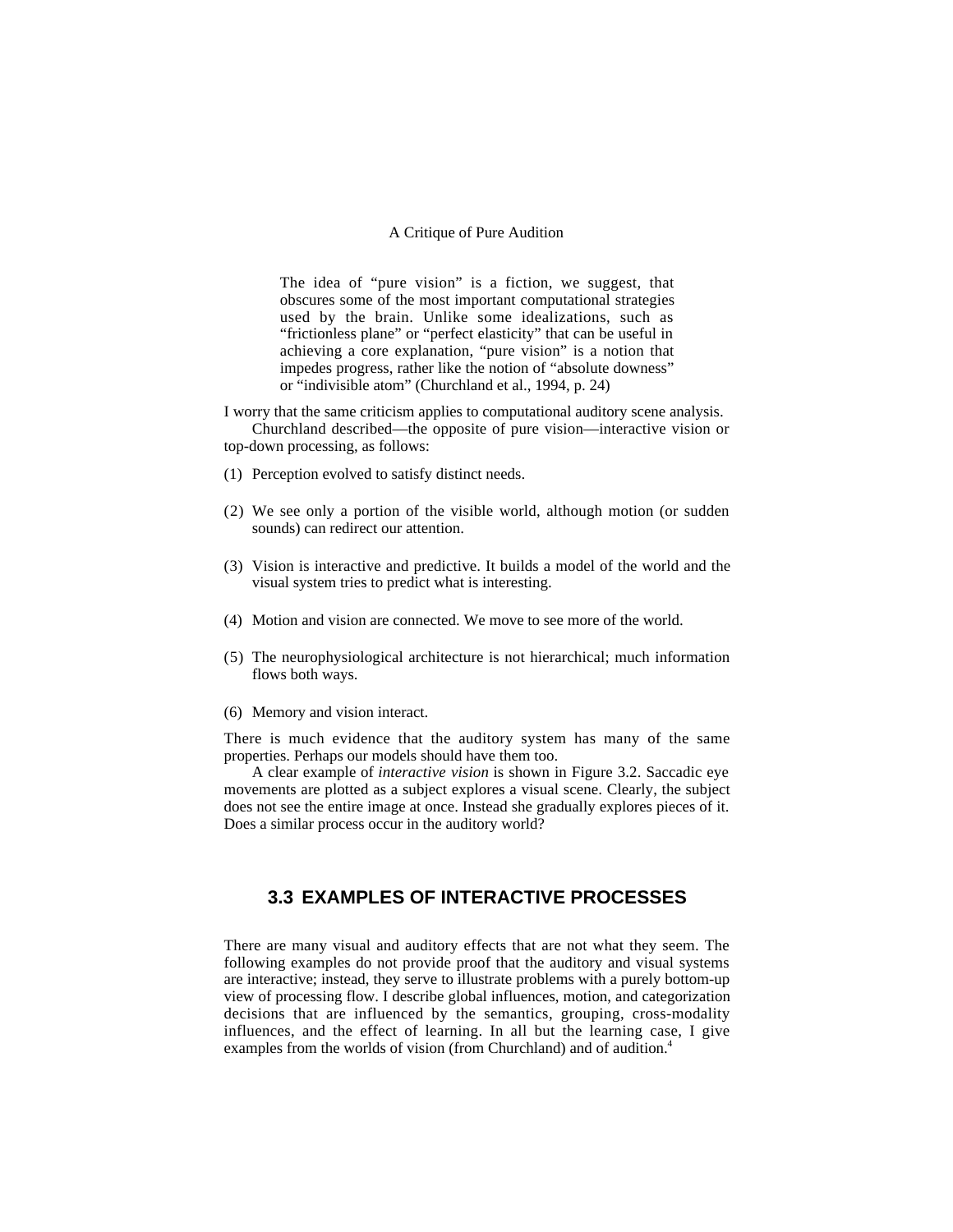The idea of "pure vision" is a fiction, we suggest, that obscures some of the most important computational strategies used by the brain. Unlike some idealizations, such as "frictionless plane" or "perfect elasticity" that can be useful in achieving a core explanation, "pure vision" is a notion that impedes progress, rather like the notion of "absolute downess" or "indivisible atom" (Churchland et al., 1994, p. 24)

I worry that the same criticism applies to computational auditory scene analysis.

Churchland described—the opposite of pure vision—interactive vision or top-down processing, as follows:

- (1) Perception evolved to satisfy distinct needs.
- (2) We see only a portion of the visible world, although motion (or sudden sounds) can redirect our attention.
- (3) Vision is interactive and predictive. It builds a model of the world and the visual system tries to predict what is interesting.
- (4) Motion and vision are connected. We move to see more of the world.
- (5) The neurophysiological architecture is not hierarchical; much information flows both ways.
- (6) Memory and vision interact.

There is much evidence that the auditory system has many of the same properties. Perhaps our models should have them too.

A clear example of *interactive vision* is shown in Figure 3.2. Saccadic eye movements are plotted as a subject explores a visual scene. Clearly, the subject does not see the entire image at once. Instead she gradually explores pieces of it. Does a similar process occur in the auditory world?

# **3.3 EXAMPLES OF INTERACTIVE PROCESSES**

There are many visual and auditory effects that are not what they seem. The following examples do not provide proof that the auditory and visual systems are interactive; instead, they serve to illustrate problems with a purely bottom-up view of processing flow. I describe global influences, motion, and categorization decisions that are influenced by the semantics, grouping, cross-modality influences, and the effect of learning. In all but the learning case, I give examples from the worlds of vision (from Churchland) and of audition.<sup>4</sup>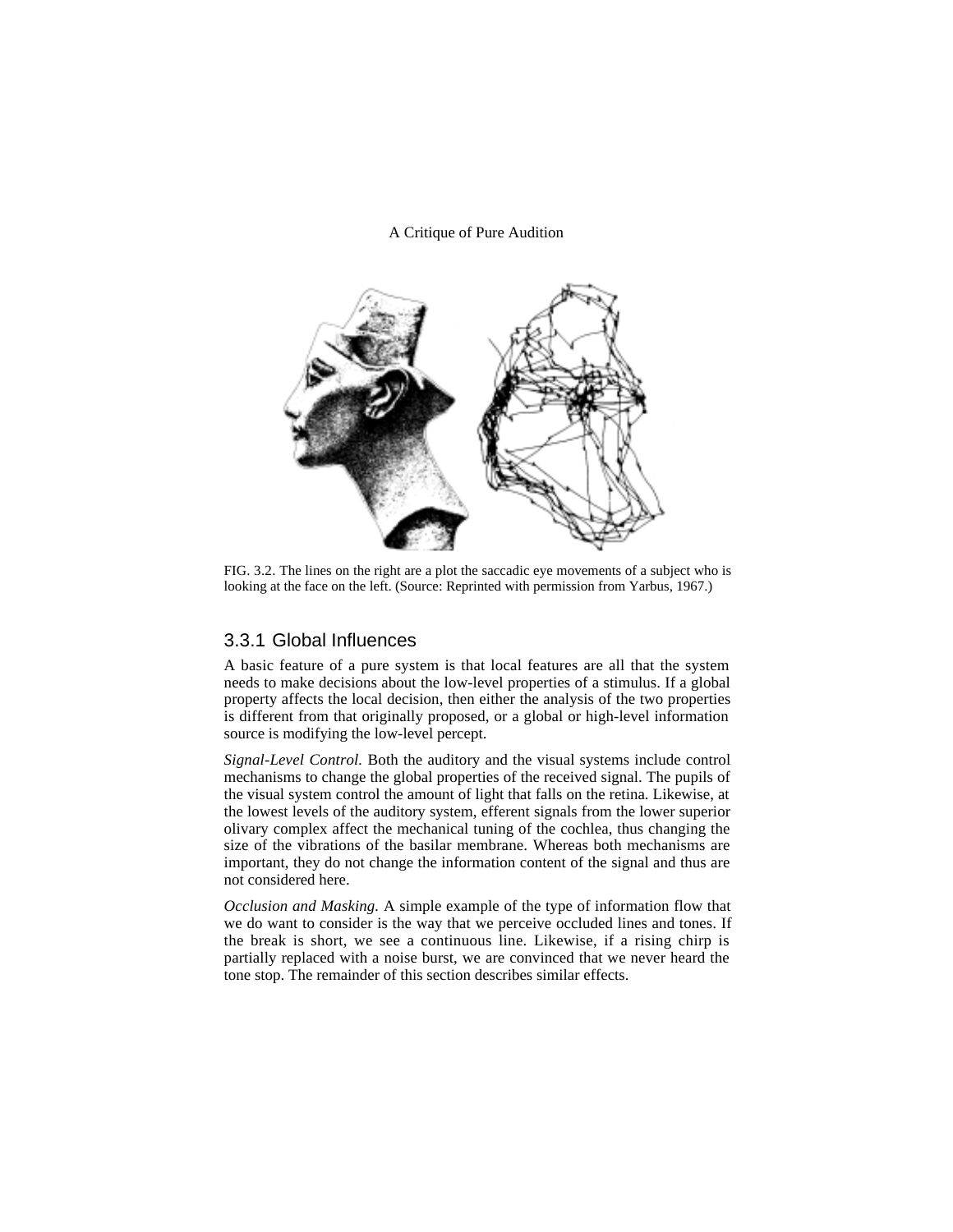

FIG. 3.2. The lines on the right are a plot the saccadic eye movements of a subject who is looking at the face on the left. (Source: Reprinted with permission from Yarbus, 1967.)

# 3.3.1 Global Influences

A basic feature of a pure system is that local features are all that the system needs to make decisions about the low-level properties of a stimulus. If a global property affects the local decision, then either the analysis of the two properties is different from that originally proposed, or a global or high-level information source is modifying the low-level percept.

*Signal-Level Control.* Both the auditory and the visual systems include control mechanisms to change the global properties of the received signal. The pupils of the visual system control the amount of light that falls on the retina. Likewise, at the lowest levels of the auditory system, efferent signals from the lower superior olivary complex affect the mechanical tuning of the cochlea, thus changing the size of the vibrations of the basilar membrane. Whereas both mechanisms are important, they do not change the information content of the signal and thus are not considered here.

*Occlusion and Masking.* A simple example of the type of information flow that we do want to consider is the way that we perceive occluded lines and tones. If the break is short, we see a continuous line. Likewise, if a rising chirp is partially replaced with a noise burst, we are convinced that we never heard the tone stop. The remainder of this section describes similar effects.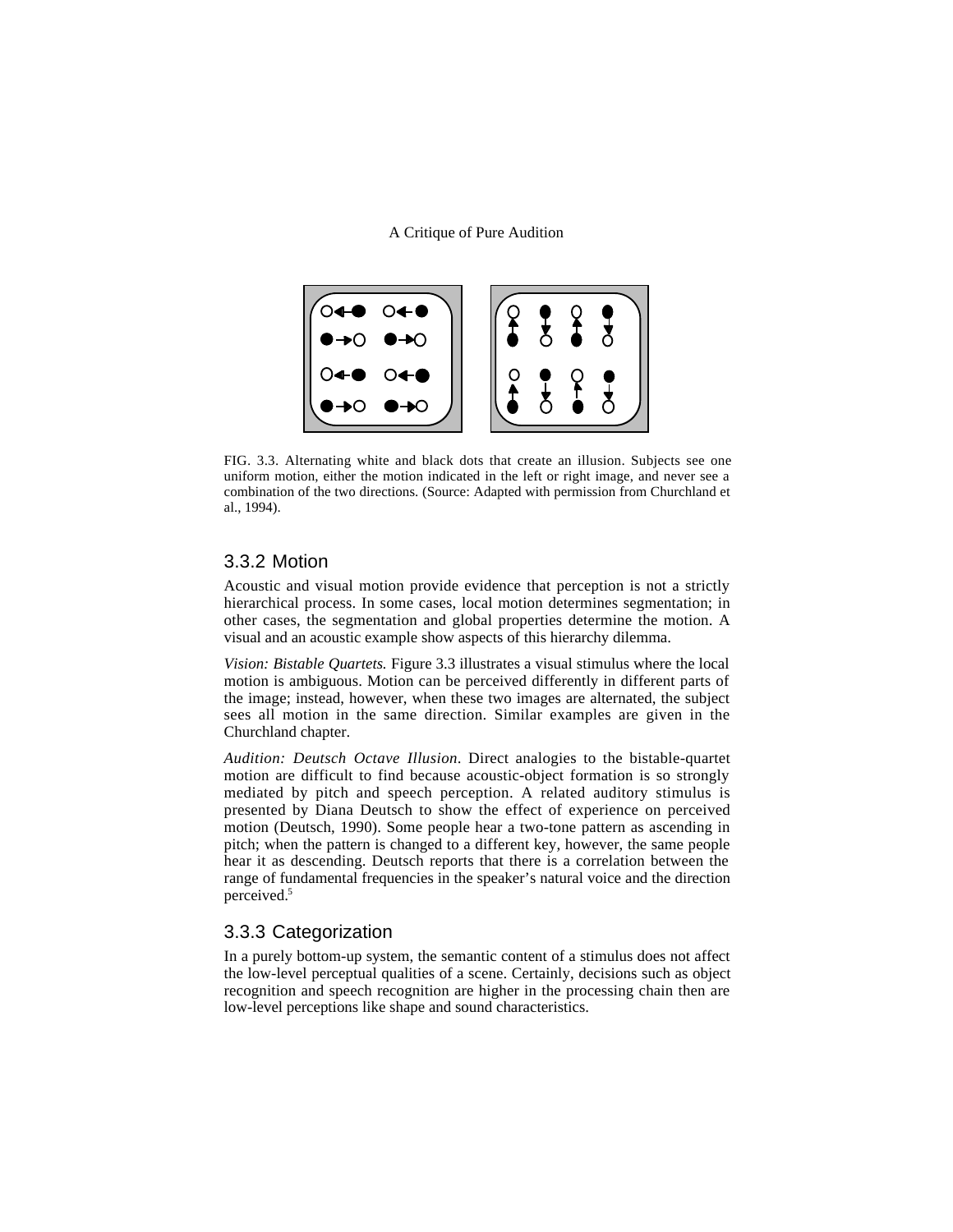

FIG. 3.3. Alternating white and black dots that create an illusion. Subjects see one uniform motion, either the motion indicated in the left or right image, and never see a combination of the two directions. (Source: Adapted with permission from Churchland et al., 1994).

### 3.3.2 Motion

Acoustic and visual motion provide evidence that perception is not a strictly hierarchical process. In some cases, local motion determines segmentation; in other cases, the segmentation and global properties determine the motion. A visual and an acoustic example show aspects of this hierarchy dilemma.

*Vision: Bistable Quartets.* Figure 3.3 illustrates a visual stimulus where the local motion is ambiguous. Motion can be perceived differently in different parts of the image; instead, however, when these two images are alternated, the subject sees all motion in the same direction. Similar examples are given in the Churchland chapter.

*Audition: Deutsch Octave Illusion*. Direct analogies to the bistable-quartet motion are difficult to find because acoustic-object formation is so strongly mediated by pitch and speech perception. A related auditory stimulus is presented by Diana Deutsch to show the effect of experience on perceived motion (Deutsch, 1990). Some people hear a two-tone pattern as ascending in pitch; when the pattern is changed to a different key, however, the same people hear it as descending. Deutsch reports that there is a correlation between the range of fundamental frequencies in the speaker's natural voice and the direction perceived.5

## 3.3.3 Categorization

In a purely bottom-up system, the semantic content of a stimulus does not affect the low-level perceptual qualities of a scene. Certainly, decisions such as object recognition and speech recognition are higher in the processing chain then are low-level perceptions like shape and sound characteristics.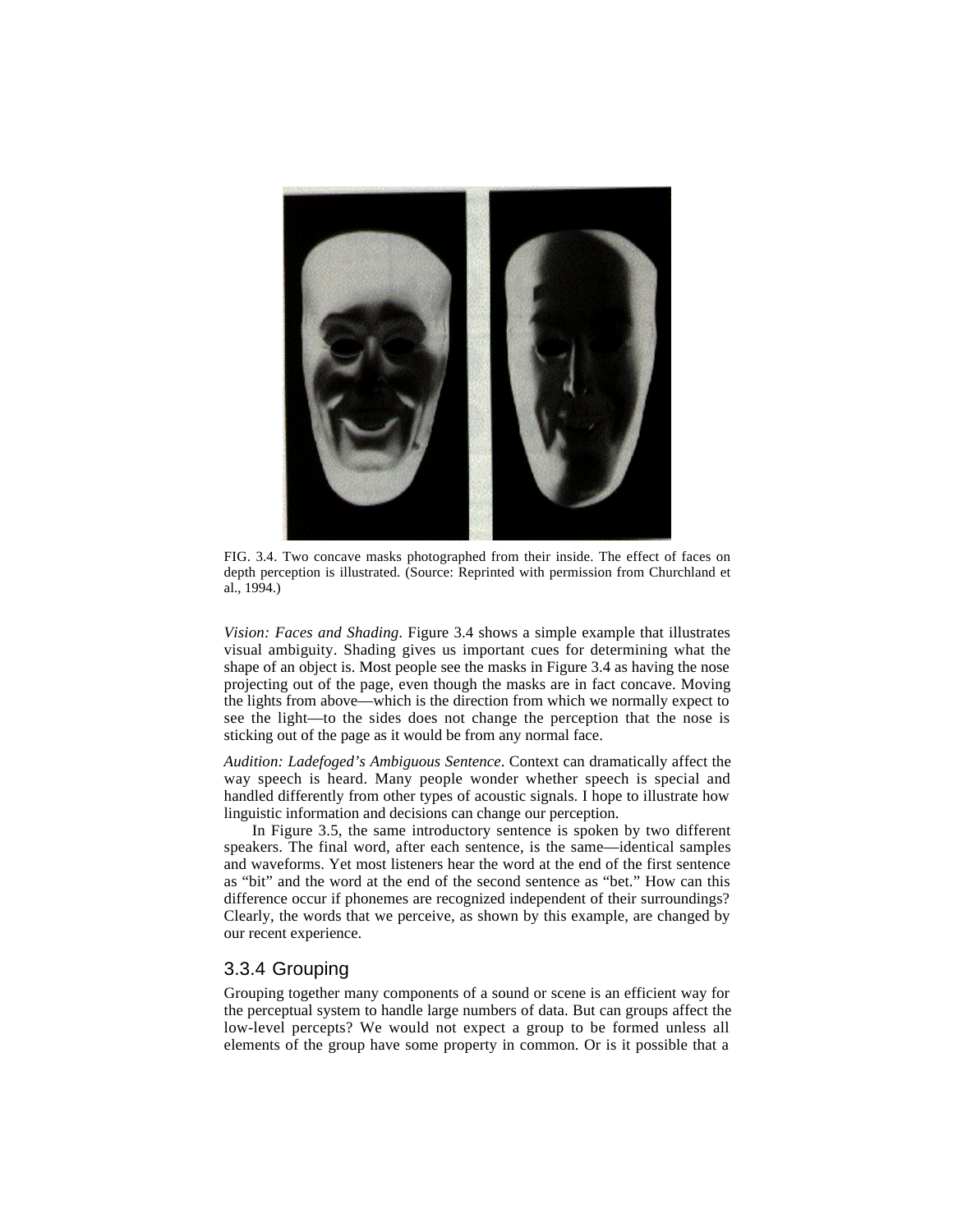

FIG. 3.4. Two concave masks photographed from their inside. The effect of faces on depth perception is illustrated. (Source: Reprinted with permission from Churchland et al., 1994.)

*Vision: Faces and Shading*. Figure 3.4 shows a simple example that illustrates visual ambiguity. Shading gives us important cues for determining what the shape of an object is. Most people see the masks in Figure 3.4 as having the nose projecting out of the page, even though the masks are in fact concave. Moving the lights from above—which is the direction from which we normally expect to see the light—to the sides does not change the perception that the nose is sticking out of the page as it would be from any normal face.

*Audition: Ladefoged's Ambiguous Sentence*. Context can dramatically affect the way speech is heard. Many people wonder whether speech is special and handled differently from other types of acoustic signals. I hope to illustrate how linguistic information and decisions can change our perception.

In Figure 3.5, the same introductory sentence is spoken by two different speakers. The final word, after each sentence, is the same—identical samples and waveforms. Yet most listeners hear the word at the end of the first sentence as "bit" and the word at the end of the second sentence as "bet." How can this difference occur if phonemes are recognized independent of their surroundings? Clearly, the words that we perceive, as shown by this example, are changed by our recent experience.

# 3.3.4 Grouping

Grouping together many components of a sound or scene is an efficient way for the perceptual system to handle large numbers of data. But can groups affect the low-level percepts? We would not expect a group to be formed unless all elements of the group have some property in common. Or is it possible that a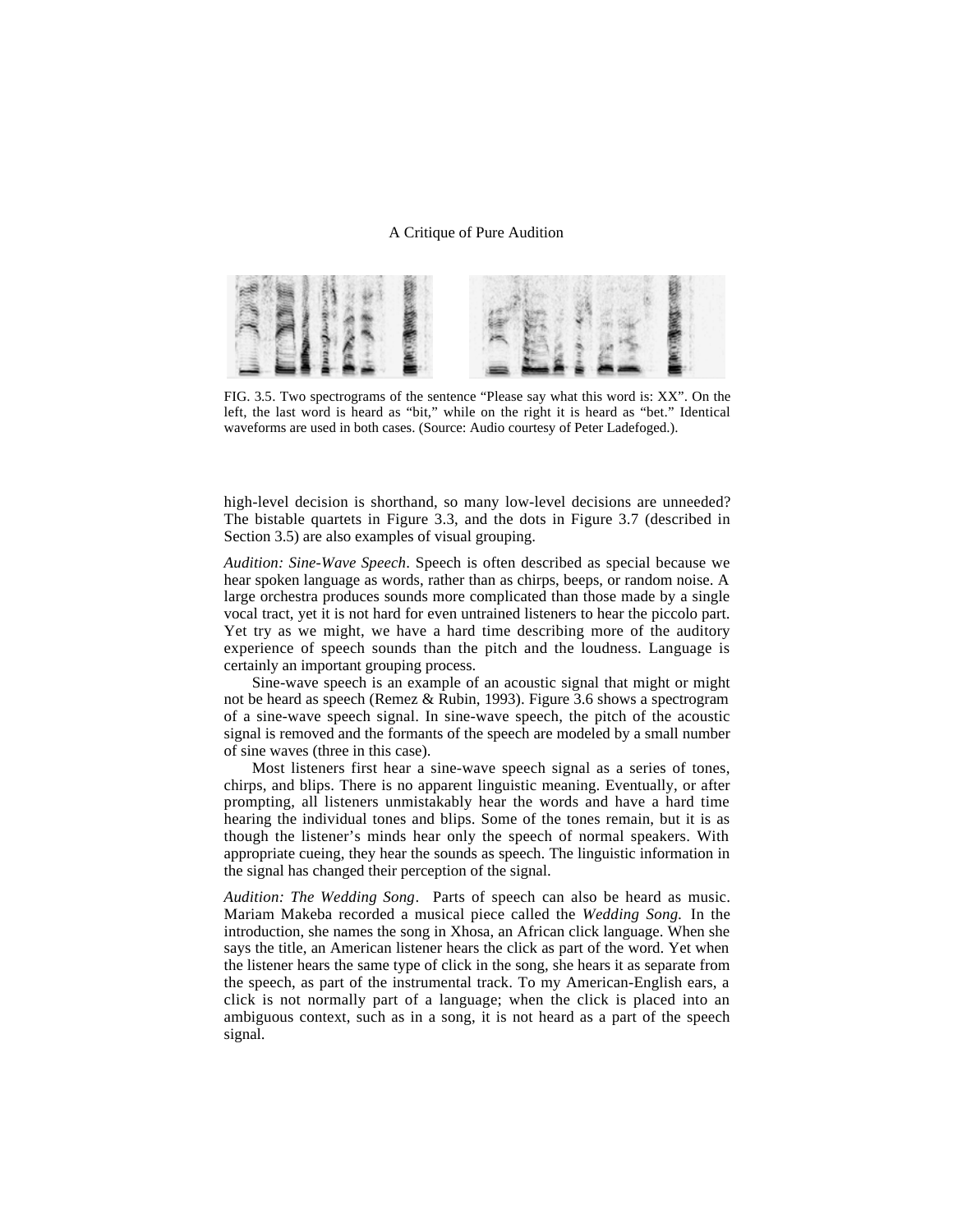

FIG. 3.5. Two spectrograms of the sentence "Please say what this word is: XX". On the left, the last word is heard as "bit," while on the right it is heard as "bet." Identical waveforms are used in both cases. (Source: Audio courtesy of Peter Ladefoged.).

high-level decision is shorthand, so many low-level decisions are unneeded? The bistable quartets in Figure 3.3, and the dots in Figure 3.7 (described in Section 3.5) are also examples of visual grouping.

*Audition: Sine-Wave Speech*. Speech is often described as special because we hear spoken language as words, rather than as chirps, beeps, or random noise. A large orchestra produces sounds more complicated than those made by a single vocal tract, yet it is not hard for even untrained listeners to hear the piccolo part. Yet try as we might, we have a hard time describing more of the auditory experience of speech sounds than the pitch and the loudness. Language is certainly an important grouping process.

Sine-wave speech is an example of an acoustic signal that might or might not be heard as speech (Remez & Rubin, 1993). Figure 3.6 shows a spectrogram of a sine-wave speech signal. In sine-wave speech, the pitch of the acoustic signal is removed and the formants of the speech are modeled by a small number of sine waves (three in this case).

Most listeners first hear a sine-wave speech signal as a series of tones, chirps, and blips. There is no apparent linguistic meaning. Eventually, or after prompting, all listeners unmistakably hear the words and have a hard time hearing the individual tones and blips. Some of the tones remain, but it is as though the listener's minds hear only the speech of normal speakers. With appropriate cueing, they hear the sounds as speech. The linguistic information in the signal has changed their perception of the signal.

*Audition: The Wedding Song*. Parts of speech can also be heard as music. Mariam Makeba recorded a musical piece called the *Wedding Song.* In the introduction, she names the song in Xhosa, an African click language. When she says the title, an American listener hears the click as part of the word. Yet when the listener hears the same type of click in the song, she hears it as separate from the speech, as part of the instrumental track. To my American-English ears, a click is not normally part of a language; when the click is placed into an ambiguous context, such as in a song, it is not heard as a part of the speech signal.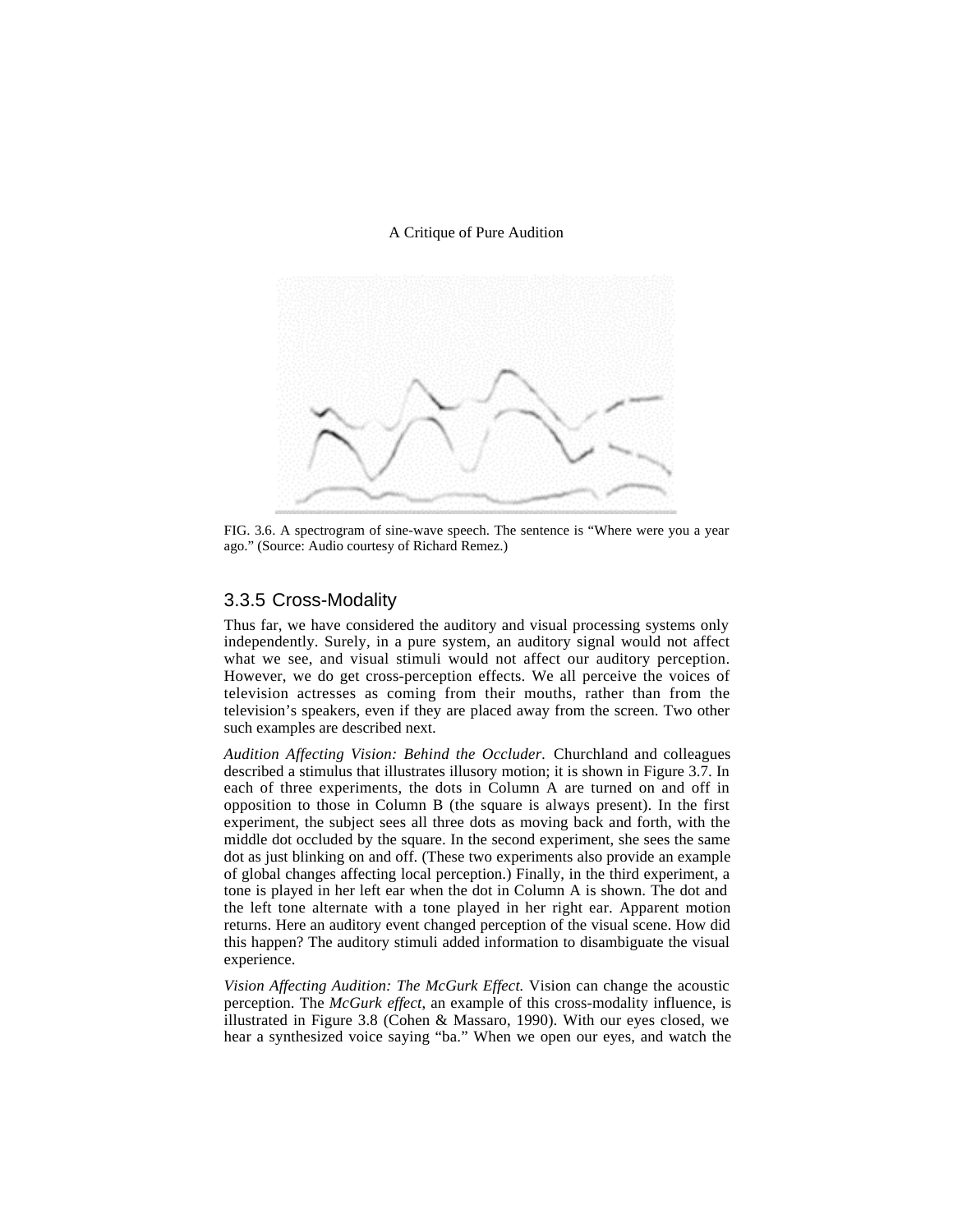

FIG. 3.6. A spectrogram of sine-wave speech. The sentence is "Where were you a year ago." (Source: Audio courtesy of Richard Remez.)

## 3.3.5 Cross-Modality

Thus far, we have considered the auditory and visual processing systems only independently. Surely, in a pure system, an auditory signal would not affect what we see, and visual stimuli would not affect our auditory perception. However, we do get cross-perception effects. We all perceive the voices of television actresses as coming from their mouths, rather than from the television's speakers, even if they are placed away from the screen. Two other such examples are described next.

*Audition Affecting Vision: Behind the Occluder.* Churchland and colleagues described a stimulus that illustrates illusory motion; it is shown in Figure 3.7. In each of three experiments, the dots in Column A are turned on and off in opposition to those in Column B (the square is always present). In the first experiment, the subject sees all three dots as moving back and forth, with the middle dot occluded by the square. In the second experiment, she sees the same dot as just blinking on and off. (These two experiments also provide an example of global changes affecting local perception.) Finally, in the third experiment, a tone is played in her left ear when the dot in Column A is shown. The dot and the left tone alternate with a tone played in her right ear. Apparent motion returns. Here an auditory event changed perception of the visual scene. How did this happen? The auditory stimuli added information to disambiguate the visual experience.

*Vision Affecting Audition: The McGurk Effect.* Vision can change the acoustic perception. The *McGurk effect*, an example of this cross-modality influence, is illustrated in Figure 3.8 (Cohen & Massaro, 1990). With our eyes closed, we hear a synthesized voice saying "ba." When we open our eyes, and watch the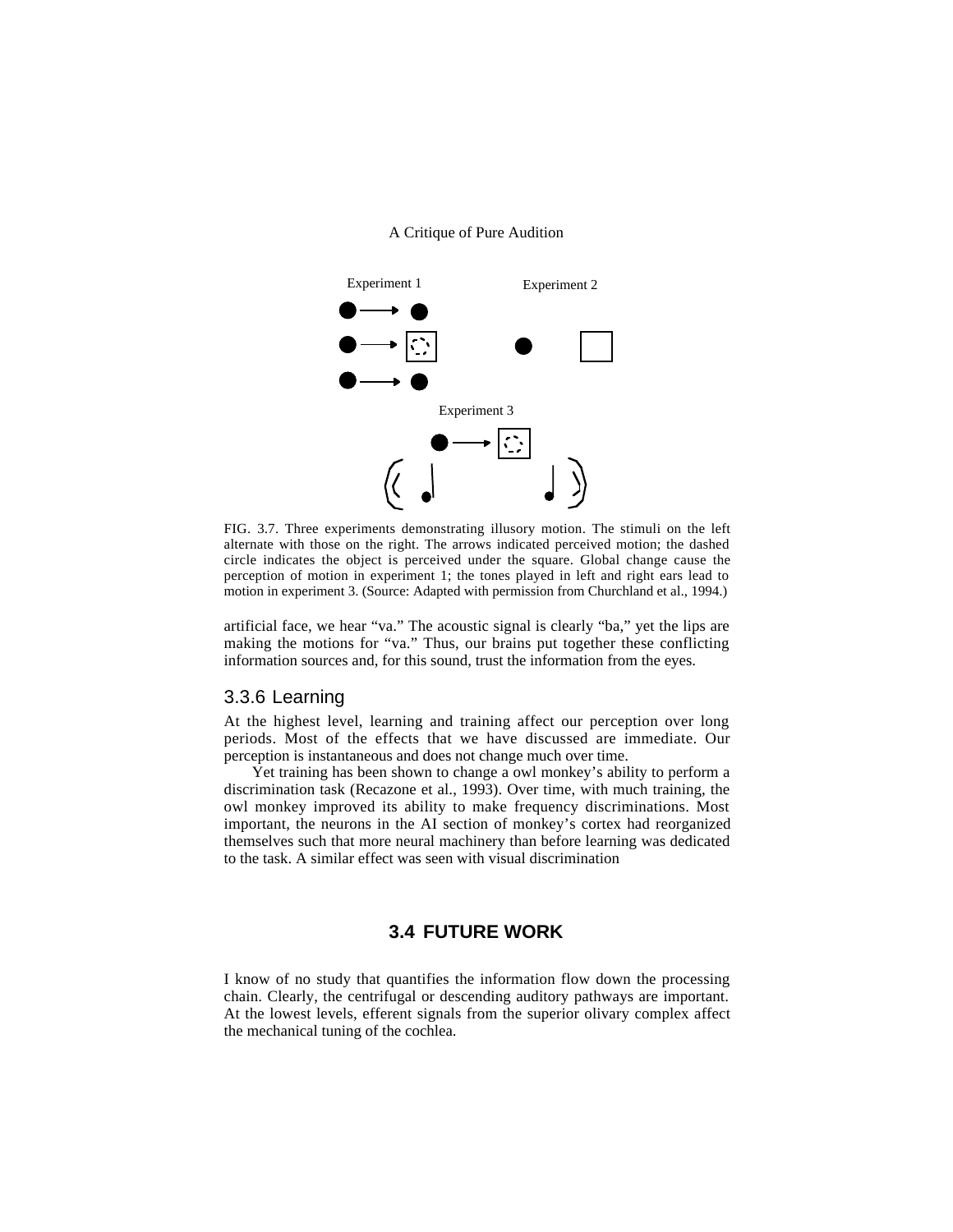

FIG. 3.7. Three experiments demonstrating illusory motion. The stimuli on the left alternate with those on the right. The arrows indicated perceived motion; the dashed circle indicates the object is perceived under the square. Global change cause the perception of motion in experiment 1; the tones played in left and right ears lead to motion in experiment 3. (Source: Adapted with permission from Churchland et al., 1994.)

artificial face, we hear "va." The acoustic signal is clearly "ba," yet the lips are making the motions for "va." Thus, our brains put together these conflicting information sources and, for this sound, trust the information from the eyes.

### 3.3.6 Learning

At the highest level, learning and training affect our perception over long periods. Most of the effects that we have discussed are immediate. Our perception is instantaneous and does not change much over time.

Yet training has been shown to change a owl monkey's ability to perform a discrimination task (Recazone et al., 1993). Over time, with much training, the owl monkey improved its ability to make frequency discriminations. Most important, the neurons in the AI section of monkey's cortex had reorganized themselves such that more neural machinery than before learning was dedicated to the task. A similar effect was seen with visual discrimination

# **3.4 FUTURE WORK**

I know of no study that quantifies the information flow down the processing chain. Clearly, the centrifugal or descending auditory pathways are important. At the lowest levels, efferent signals from the superior olivary complex affect the mechanical tuning of the cochlea.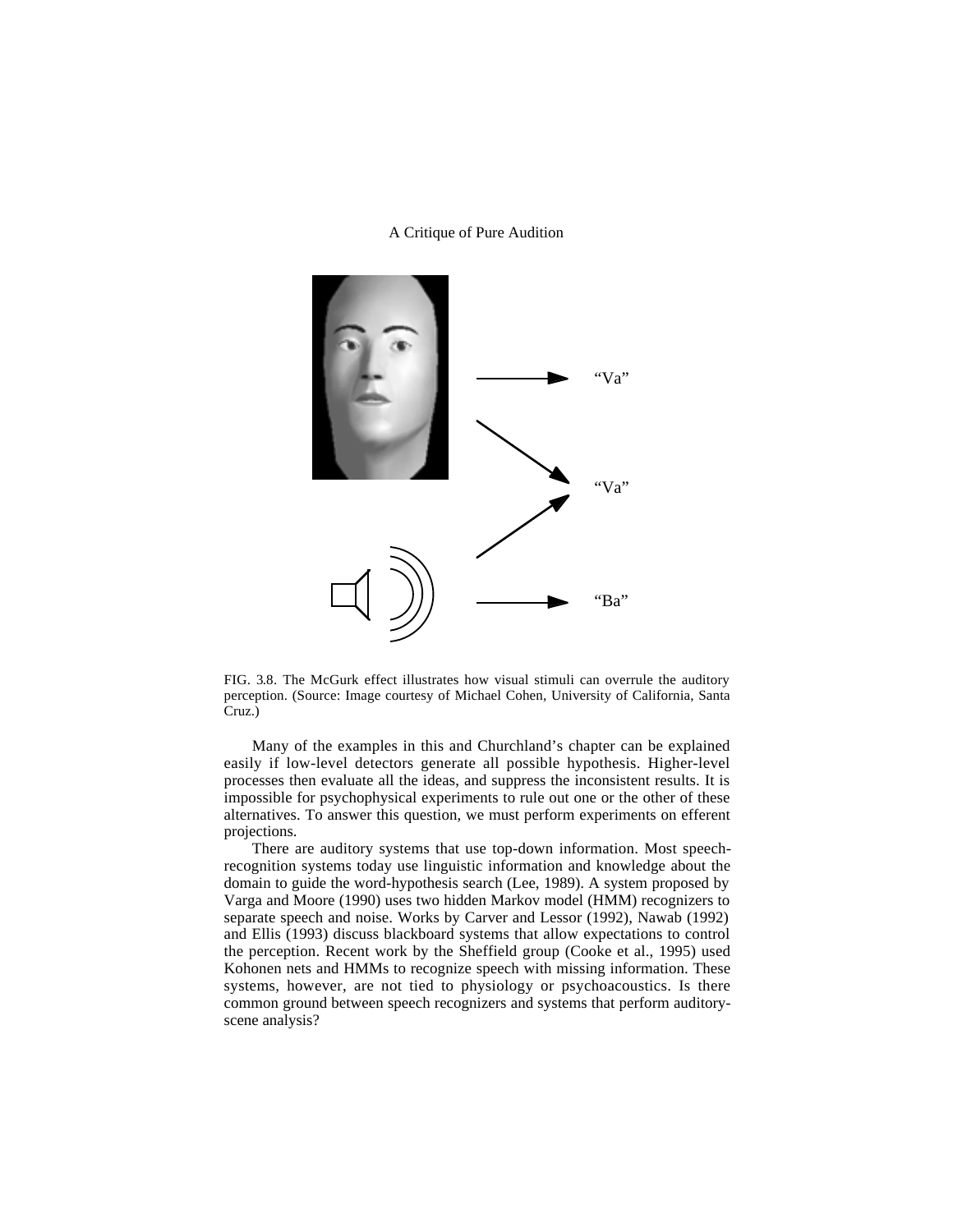

FIG. 3.8. The McGurk effect illustrates how visual stimuli can overrule the auditory perception. (Source: Image courtesy of Michael Cohen, University of California, Santa Cruz.)

Many of the examples in this and Churchland's chapter can be explained easily if low-level detectors generate all possible hypothesis. Higher-level processes then evaluate all the ideas, and suppress the inconsistent results. It is impossible for psychophysical experiments to rule out one or the other of these alternatives. To answer this question, we must perform experiments on efferent projections.

There are auditory systems that use top-down information. Most speechrecognition systems today use linguistic information and knowledge about the domain to guide the word-hypothesis search (Lee, 1989). A system proposed by Varga and Moore (1990) uses two hidden Markov model (HMM) recognizers to separate speech and noise. Works by Carver and Lessor (1992), Nawab (1992) and Ellis (1993) discuss blackboard systems that allow expectations to control the perception. Recent work by the Sheffield group (Cooke et al., 1995) used Kohonen nets and HMMs to recognize speech with missing information. These systems, however, are not tied to physiology or psychoacoustics. Is there common ground between speech recognizers and systems that perform auditoryscene analysis?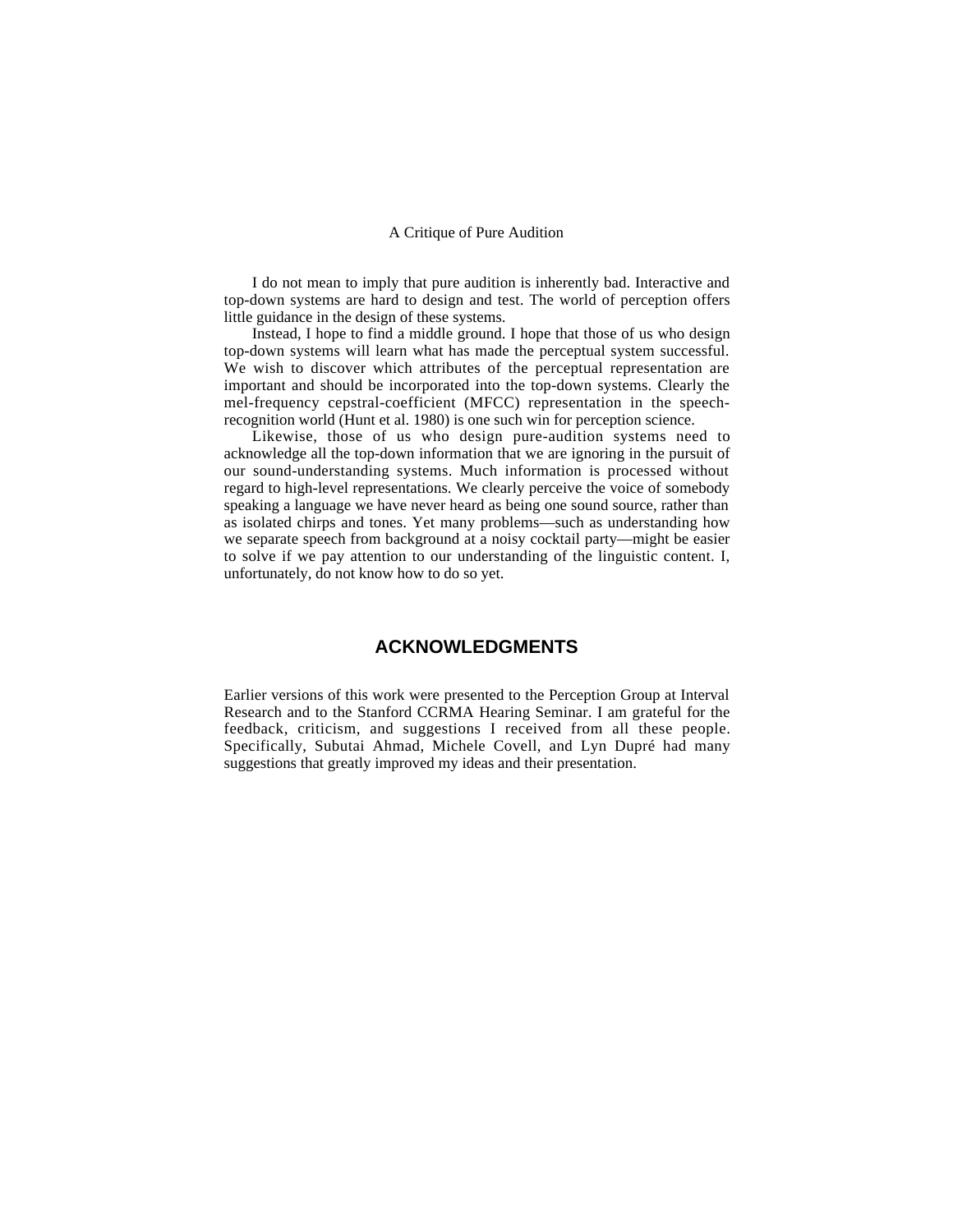I do not mean to imply that pure audition is inherently bad. Interactive and top-down systems are hard to design and test. The world of perception offers little guidance in the design of these systems.

Instead, I hope to find a middle ground. I hope that those of us who design top-down systems will learn what has made the perceptual system successful. We wish to discover which attributes of the perceptual representation are important and should be incorporated into the top-down systems. Clearly the mel-frequency cepstral-coefficient (MFCC) representation in the speechrecognition world (Hunt et al. 1980) is one such win for perception science.

Likewise, those of us who design pure-audition systems need to acknowledge all the top-down information that we are ignoring in the pursuit of our sound-understanding systems. Much information is processed without regard to high-level representations. We clearly perceive the voice of somebody speaking a language we have never heard as being one sound source, rather than as isolated chirps and tones. Yet many problems—such as understanding how we separate speech from background at a noisy cocktail party—might be easier to solve if we pay attention to our understanding of the linguistic content. I, unfortunately, do not know how to do so yet.

# **ACKNOWLEDGMENTS**

Earlier versions of this work were presented to the Perception Group at Interval Research and to the Stanford CCRMA Hearing Seminar. I am grateful for the feedback, criticism, and suggestions I received from all these people. Specifically, Subutai Ahmad, Michele Covell, and Lyn Dupré had many suggestions that greatly improved my ideas and their presentation.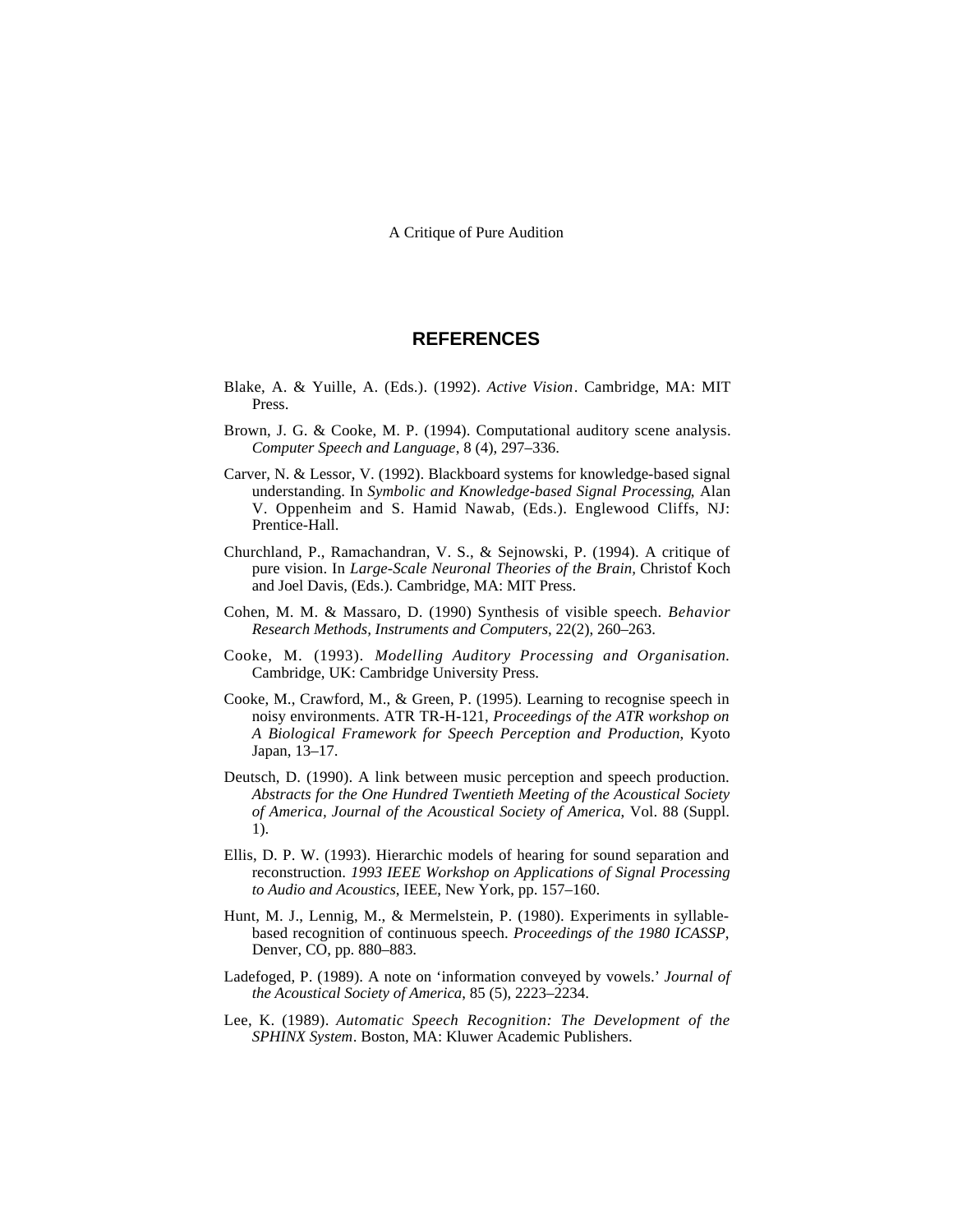# **REFERENCES**

- Blake, A. & Yuille, A. (Eds.). (1992). *Active Vision*. Cambridge, MA: MIT Press.
- Brown, J. G. & Cooke, M. P. (1994). Computational auditory scene analysis. *Computer Speech and Language*, 8 (4), 297–336.
- Carver, N. & Lessor, V. (1992). Blackboard systems for knowledge-based signal understanding. In *Symbolic and Knowledge-based Signal Processing*, Alan V. Oppenheim and S. Hamid Nawab, (Eds.). Englewood Cliffs, NJ: Prentice-Hall.
- Churchland, P., Ramachandran, V. S., & Sejnowski, P. (1994). A critique of pure vision. In *Large-Scale Neuronal Theories of the Brain,* Christof Koch and Joel Davis, (Eds.). Cambridge, MA: MIT Press.
- Cohen, M. M. & Massaro, D. (1990) Synthesis of visible speech. *Behavior Research Methods, Instruments and Computers*, 22(2), 260–263.
- Cooke, M. (1993). *Modelling Auditory Processing and Organisation.* Cambridge, UK: Cambridge University Press.
- Cooke, M., Crawford, M., & Green, P. (1995). Learning to recognise speech in noisy environments. ATR TR-H-121, *Proceedings of the ATR workshop on A Biological Framework for Speech Perception and Production*, Kyoto Japan, 13–17.
- Deutsch, D. (1990). A link between music perception and speech production. *Abstracts for the One Hundred Twentieth Meeting of the Acoustical Society of America, Journal of the Acoustical Society of America*, Vol. 88 (Suppl. 1).
- Ellis, D. P. W. (1993). Hierarchic models of hearing for sound separation and reconstruction. *1993 IEEE Workshop on Applications of Signal Processing to Audio and Acoustics*, IEEE, New York, pp. 157–160.
- Hunt, M. J., Lennig, M., & Mermelstein, P. (1980). Experiments in syllablebased recognition of continuous speech. *Proceedings of the 1980 ICASSP*, Denver, CO, pp. 880–883.
- Ladefoged, P. (1989). A note on 'information conveyed by vowels.' *Journal of the Acoustical Society of America*, 85 (5), 2223–2234.
- Lee, K. (1989). *Automatic Speech Recognition: The Development of the SPHINX System*. Boston, MA: Kluwer Academic Publishers.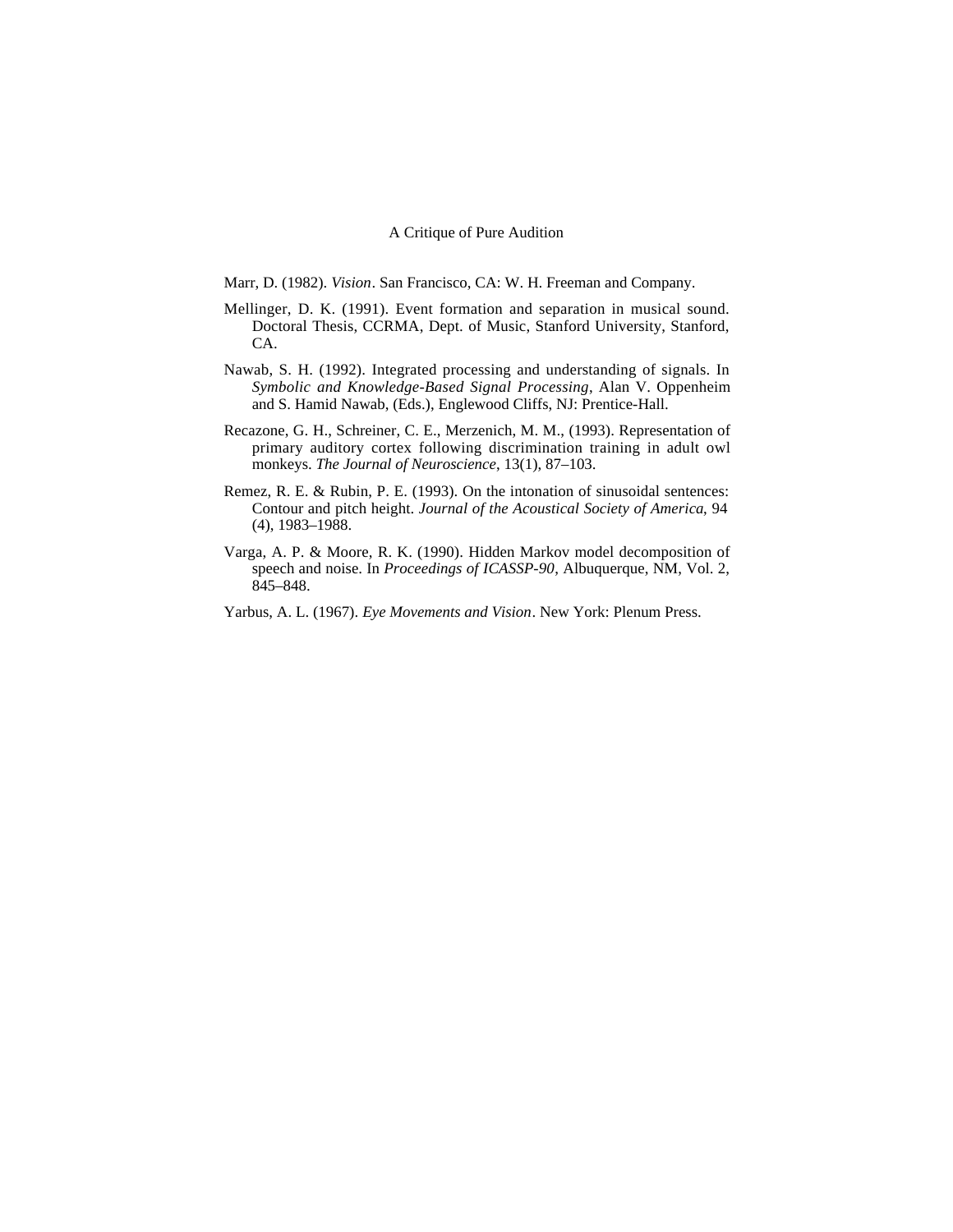Marr, D. (1982). *Vision*. San Francisco, CA: W. H. Freeman and Company.

- Mellinger, D. K. (1991). Event formation and separation in musical sound. Doctoral Thesis, CCRMA, Dept. of Music, Stanford University, Stanford, CA.
- Nawab, S. H. (1992). Integrated processing and understanding of signals. In *Symbolic and Knowledge-Based Signal Processing*, Alan V. Oppenheim and S. Hamid Nawab, (Eds.), Englewood Cliffs, NJ: Prentice-Hall.
- Recazone, G. H., Schreiner, C. E., Merzenich, M. M., (1993). Representation of primary auditory cortex following discrimination training in adult owl monkeys. *The Journal of Neuroscience*, 13(1), 87–103.
- Remez, R. E. & Rubin, P. E. (1993). On the intonation of sinusoidal sentences: Contour and pitch height. *Journal of the Acoustical Society of America*, 94 (4), 1983–1988.
- Varga, A. P. & Moore, R. K. (1990). Hidden Markov model decomposition of speech and noise. In *Proceedings of ICASSP-90*, Albuquerque, NM, Vol. 2, 845–848.
- Yarbus, A. L. (1967). *Eye Movements and Vision*. New York: Plenum Press.